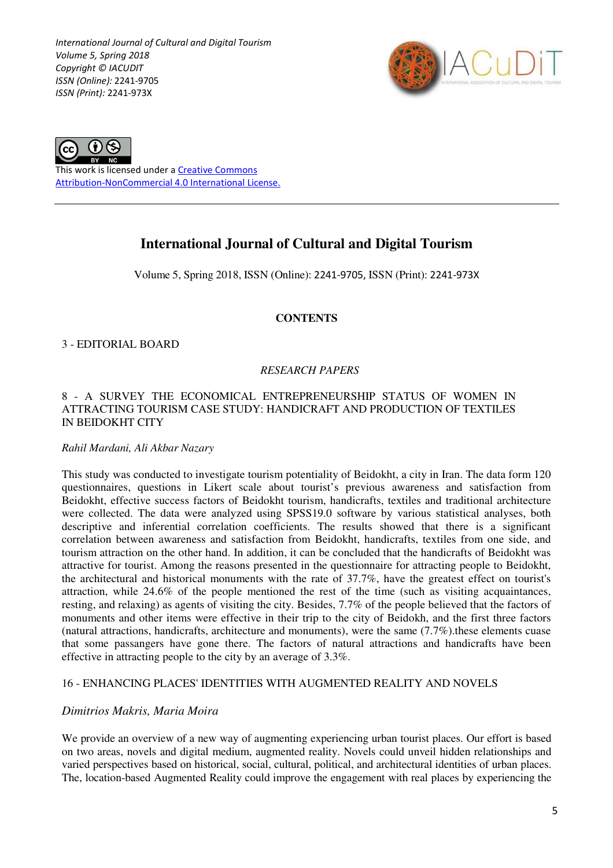*International Journal of Cultural and Digital Tourism Volume 5, Spring 2018 Copyright © IACUDIT ISSN (Online):* 2241-9705 *ISSN (Print):* 2241-973X





This work is licensed under a Creative Commons Attribution-NonCommercial 4.0 International License.

# **International Journal of Cultural and Digital Tourism**

Volume 5, Spring 2018, ISSN (Online): 2241-9705, ISSN (Print): 2241-973X

### **CONTENTS**

3 - EDITORIAL BOARD

# *RESEARCH PAPERS*

### 8 - A SURVEY THE ECONOMICAL ENTREPRENEURSHIP STATUS OF WOMEN IN ATTRACTING TOURISM CASE STUDY: HANDICRAFT AND PRODUCTION OF TEXTILES IN BEIDOKHT CITY

### *Rahil Mardani, Ali Akbar Nazary*

This study was conducted to investigate tourism potentiality of Beidokht, a city in Iran. The data form 120 questionnaires, questions in Likert scale about tourist's previous awareness and satisfaction from Beidokht, effective success factors of Beidokht tourism, handicrafts, textiles and traditional architecture were collected. The data were analyzed using SPSS19.0 software by various statistical analyses, both descriptive and inferential correlation coefficients. The results showed that there is a significant correlation between awareness and satisfaction from Beidokht, handicrafts, textiles from one side, and tourism attraction on the other hand. In addition, it can be concluded that the handicrafts of Beidokht was attractive for tourist. Among the reasons presented in the questionnaire for attracting people to Beidokht, the architectural and historical monuments with the rate of 37.7%, have the greatest effect on tourist's attraction, while 24.6% of the people mentioned the rest of the time (such as visiting acquaintances, resting, and relaxing) as agents of visiting the city. Besides, 7.7% of the people believed that the factors of monuments and other items were effective in their trip to the city of Beidokh, and the first three factors (natural attractions, handicrafts, architecture and monuments), were the same (7.7%).these elements cuase that some passangers have gone there. The factors of natural attractions and handicrafts have been effective in attracting people to the city by an average of 3.3%.

# 16 - ENHANCING PLACES' IDENTITIES WITH AUGMENTED REALITY AND NOVELS

# *Dimitrios Makris, Maria Moira*

We provide an overview of a new way of augmenting experiencing urban tourist places. Our effort is based on two areas, novels and digital medium, augmented reality. Novels could unveil hidden relationships and varied perspectives based on historical, social, cultural, political, and architectural identities of urban places. The, location-based Augmented Reality could improve the engagement with real places by experiencing the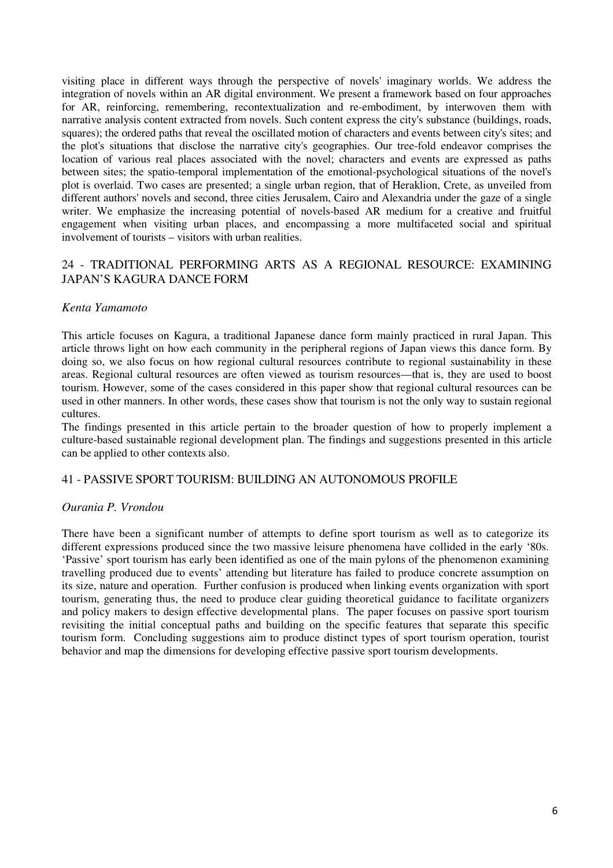visiting place in different ways through the perspective of novels' imaginary worlds. We address the integration of novels within an AR digital environment. We present a framework based on four approaches for AR, reinforcing, remembering, recontextualization and re-embodiment, by interwoven them with narrative analysis content extracted from novels. Such content express the city's substance (buildings, roads, squares); the ordered paths that reveal the oscillated motion of characters and events between city's sites; and the plot's situations that disclose the narrative city's geographies. Our tree-fold endeavor comprises the location of various real places associated with the novel; characters and events are expressed as paths between sites; the spatio-temporal implementation of the emotional-psychological situations of the novel's plot is overlaid. Two cases are presented; a single urban region, that of Heraklion, Crete, as unveiled from different authors' novels and second, three cities Jerusalem, Cairo and Alexandria under the gaze of a single writer. We emphasize the increasing potential of novels-based AR medium for a creative and fruitful engagement when visiting urban places, and encompassing a more multifaceted social and spiritual involvement of tourists – visitors with urban realities.

# 24 - TRADITIONAL PERFORMING ARTS AS A REGIONAL RESOURCE: EXAMINING JAPAN'S KAGURA DANCE FORM

### *Kenta Yamamoto*

This article focuses on Kagura, a traditional Japanese dance form mainly practiced in rural Japan. This article throws light on how each community in the peripheral regions of Japan views this dance form. By doing so, we also focus on how regional cultural resources contribute to regional sustainability in these areas. Regional cultural resources are often viewed as tourism resources—that is, they are used to boost tourism. However, some of the cases considered in this paper show that regional cultural resources can be used in other manners. In other words, these cases show that tourism is not the only way to sustain regional cultures.

The findings presented in this article pertain to the broader question of how to properly implement a culture-based sustainable regional development plan. The findings and suggestions presented in this article can be applied to other contexts also.

### 41 - PASSIVE SPORT TOURISM: BUILDING AN AUTONOMOUS PROFILE

# *Ourania P. Vrondou*

There have been a significant number of attempts to define sport tourism as well as to categorize its different expressions produced since the two massive leisure phenomena have collided in the early '80s. 'Passive' sport tourism has early been identified as one of the main pylons of the phenomenon examining travelling produced due to events' attending but literature has failed to produce concrete assumption on its size, nature and operation. Further confusion is produced when linking events organization with sport tourism, generating thus, the need to produce clear guiding theoretical guidance to facilitate organizers and policy makers to design effective developmental plans. The paper focuses on passive sport tourism revisiting the initial conceptual paths and building on the specific features that separate this specific tourism form. Concluding suggestions aim to produce distinct types of sport tourism operation, tourist behavior and map the dimensions for developing effective passive sport tourism developments.